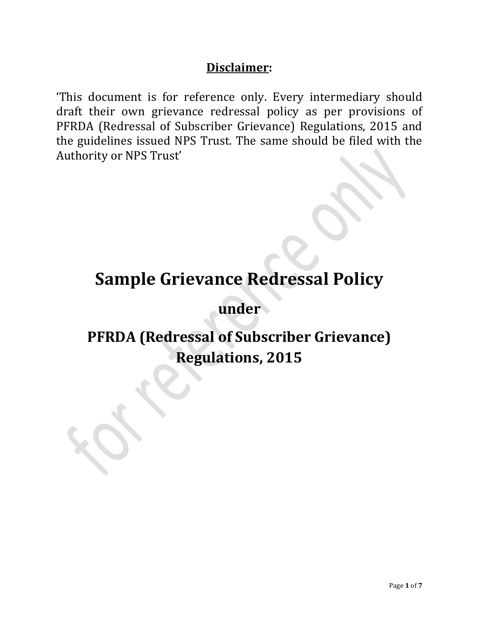### **Disclaimer:**

'This document is for reference only. Every intermediary should draft their own grievance redressal policy as per provisions of PFRDA (Redressal of Subscriber Grievance) Regulations, 2015 and the guidelines issued NPS Trust. The same should be filed with the Authority or NPS Trust'

# **Sample Grievance Redressal Policy**

**under**

## **PFRDA (Redressal of Subscriber Grievance) Regulations, 2015**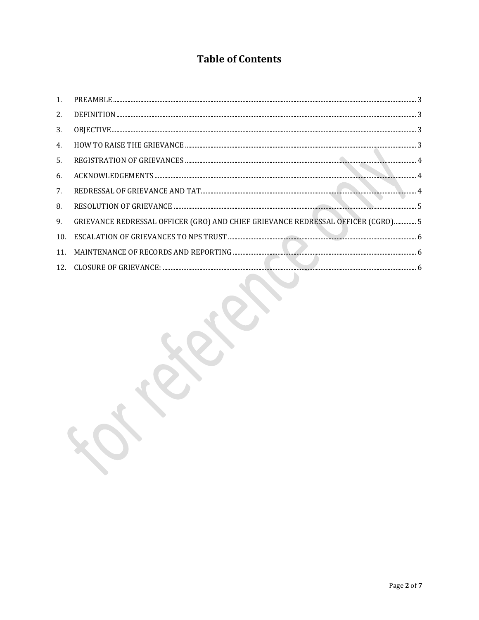## **Table of Contents**

| 2.  |                                                                                  |
|-----|----------------------------------------------------------------------------------|
| 3.  |                                                                                  |
| 4.  |                                                                                  |
| 5.  |                                                                                  |
| 6.  |                                                                                  |
| 7.  |                                                                                  |
| 8.  |                                                                                  |
| 9.  | GRIEVANCE REDRESSAL OFFICER (GRO) AND CHIEF GRIEVANCE REDRESSAL OFFICER (CGRO) 5 |
| 10. |                                                                                  |
|     |                                                                                  |
|     |                                                                                  |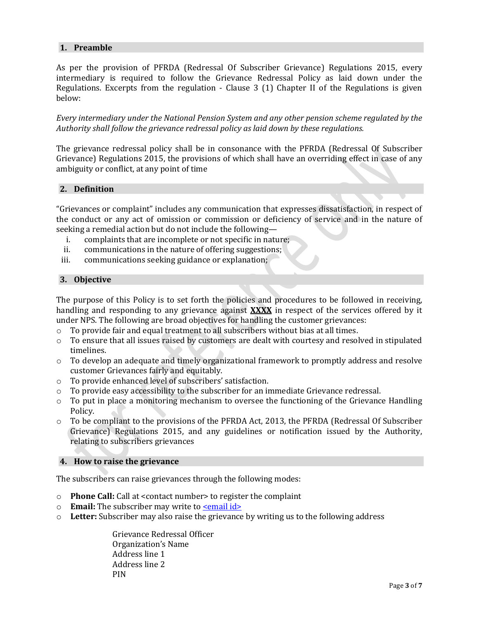#### <span id="page-2-0"></span>**1. Preamble**

As per the provision of PFRDA (Redressal Of Subscriber Grievance) Regulations 2015, every intermediary is required to follow the Grievance Redressal Policy as laid down under the Regulations. Excerpts from the regulation - Clause 3 (1) Chapter II of the Regulations is given below:

*Every intermediary under the National Pension System and any other pension scheme regulated by the Authority shall follow the grievance redressal policy as laid down by these regulations.*

The grievance redressal policy shall be in consonance with the PFRDA (Redressal Of Subscriber Grievance) Regulations 2015, the provisions of which shall have an overriding effect in case of any ambiguity or conflict, at any point of time

#### <span id="page-2-1"></span>**2. Definition**

"Grievances or complaint" includes any communication that expresses dissatisfaction, in respect of the conduct or any act of omission or commission or deficiency of service and in the nature of seeking a remedial action but do not include the following—

- i. complaints that are incomplete or not specific in nature;
- ii. communications in the nature of offering suggestions;
- iii. communications seeking guidance or explanation;

#### <span id="page-2-2"></span>**3. Objective**

The purpose of this Policy is to set forth the policies and procedures to be followed in receiving, handling and responding to any grievance against **XXXX** in respect of the services offered by it under NPS. The following are broad objectives for handling the customer grievances:

- o To provide fair and equal treatment to all subscribers without bias at all times.
- $\circ$  To ensure that all issues raised by customers are dealt with courtesy and resolved in stipulated timelines.
- o To develop an adequate and timely organizational framework to promptly address and resolve customer Grievances fairly and equitably.
- o To provide enhanced level of subscribers' satisfaction.
- o To provide easy accessibility to the subscriber for an immediate Grievance redressal.
- $\circ$  To put in place a monitoring mechanism to oversee the functioning of the Grievance Handling Policy.
- $\circ$  To be compliant to the provisions of the PFRDA Act, 2013, the PFRDA (Redressal Of Subscriber Grievance) Regulations 2015, and any guidelines or notification issued by the Authority, relating to subscribers grievances

#### <span id="page-2-3"></span>**4. How to raise the grievance**

The subscribers can raise grievances through the following modes:

- o **Phone Call:** Call at <contact number> to register the complaint
- o **Email:** The subscriber may write to **semail ids**
- o **Letter:** Subscriber may also raise the grievance by writing us to the following address

Grievance Redressal Officer Organization's Name Address line 1 Address line 2 PIN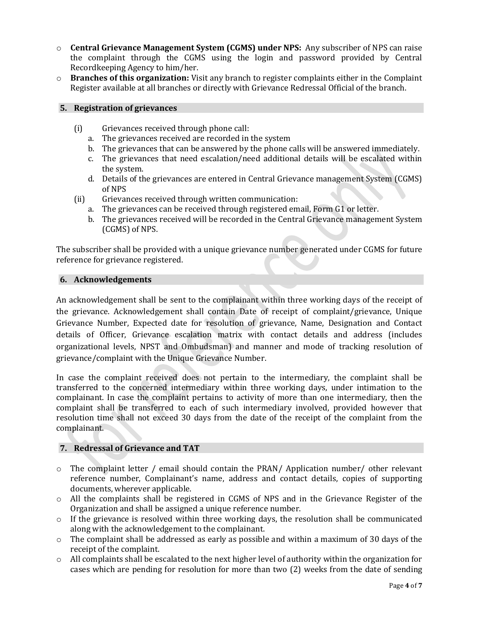- o **Central Grievance Management System (CGMS) under NPS:** Any subscriber of NPS can raise the complaint through the CGMS using the login and password provided by Central Recordkeeping Agency to him/her.
- o **Branches of this organization:** Visit any branch to register complaints either in the Complaint Register available at all branches or directly with Grievance Redressal Official of the branch.

#### <span id="page-3-0"></span>**5. Registration of grievances**

- (i) Grievances received through phone call:
	- a. The grievances received are recorded in the system
	- b. The grievances that can be answered by the phone calls will be answered immediately.
	- c. The grievances that need escalation/need additional details will be escalated within the system.
	- d. Details of the grievances are entered in Central Grievance management System (CGMS) of NPS
- (ii) Grievances received through written communication:
	- a. The grievances can be received through registered email, Form G1 or letter.
	- b. The grievances received will be recorded in the Central Grievance management System (CGMS) of NPS.

The subscriber shall be provided with a unique grievance number generated under CGMS for future reference for grievance registered.

#### <span id="page-3-1"></span>**6. Acknowledgements**

An acknowledgement shall be sent to the complainant within three working days of the receipt of the grievance. Acknowledgement shall contain Date of receipt of complaint/grievance, Unique Grievance Number, Expected date for resolution of grievance, Name, Designation and Contact details of Officer, Grievance escalation matrix with contact details and address (includes organizational levels, NPST and Ombudsman) and manner and mode of tracking resolution of grievance/complaint with the Unique Grievance Number.

In case the complaint received does not pertain to the intermediary, the complaint shall be transferred to the concerned intermediary within three working days, under intimation to the complainant. In case the complaint pertains to activity of more than one intermediary, then the complaint shall be transferred to each of such intermediary involved, provided however that resolution time shall not exceed 30 days from the date of the receipt of the complaint from the complainant.

#### <span id="page-3-2"></span>**7. Redressal of Grievance and TAT**

- $\circ$  The complaint letter / email should contain the PRAN/ Application number/ other relevant reference number, Complainant's name, address and contact details, copies of supporting documents, wherever applicable.
- o All the complaints shall be registered in CGMS of NPS and in the Grievance Register of the Organization and shall be assigned a unique reference number.
- $\circ$  If the grievance is resolved within three working days, the resolution shall be communicated along with the acknowledgement to the complainant.
- $\circ$  The complaint shall be addressed as early as possible and within a maximum of 30 days of the receipt of the complaint.
- o All complaints shall be escalated to the next higher level of authority within the organization for cases which are pending for resolution for more than two (2) weeks from the date of sending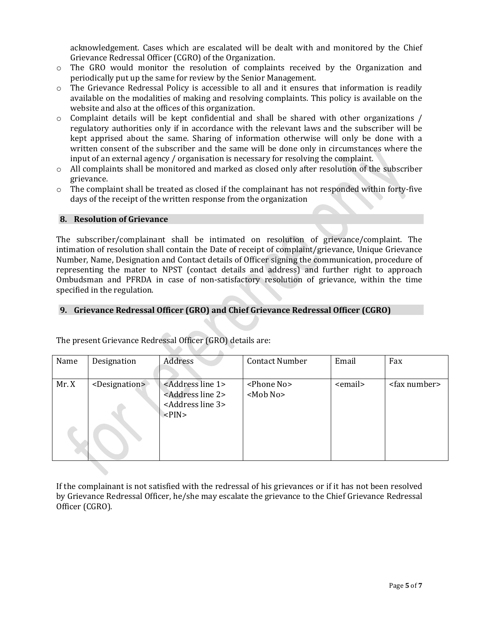acknowledgement. Cases which are escalated will be dealt with and monitored by the Chief Grievance Redressal Officer (CGRO) of the Organization.

- o The GRO would monitor the resolution of complaints received by the Organization and periodically put up the same for review by the Senior Management.
- $\circ$  The Grievance Redressal Policy is accessible to all and it ensures that information is readily available on the modalities of making and resolving complaints. This policy is available on the website and also at the offices of this organization.
- $\circ$  Complaint details will be kept confidential and shall be shared with other organizations / regulatory authorities only if in accordance with the relevant laws and the subscriber will be kept apprised about the same. Sharing of information otherwise will only be done with a written consent of the subscriber and the same will be done only in circumstances where the input of an external agency / organisation is necessary for resolving the complaint.
- o All complaints shall be monitored and marked as closed only after resolution of the subscriber grievance.
- o The complaint shall be treated as closed if the complainant has not responded within forty-five days of the receipt of the written response from the organization

#### <span id="page-4-0"></span>**8. Resolution of Grievance**

The subscriber/complainant shall be intimated on resolution of grievance/complaint. The intimation of resolution shall contain the Date of receipt of complaint/grievance, Unique Grievance Number, Name, Designation and Contact details of Officer signing the communication, procedure of representing the mater to NPST (contact details and address) and further right to approach Ombudsman and PFRDA in case of non-satisfactory resolution of grievance, within the time specified in the regulation.

#### <span id="page-4-1"></span>**9. Grievance Redressal Officer (GRO) and Chief Grievance Redressal Officer (CGRO)**

| Name | Designation                 | Address                                                                                                                                                 | <b>Contact Number</b>                                              | Email           | Fax                   |
|------|-----------------------------|---------------------------------------------------------------------------------------------------------------------------------------------------------|--------------------------------------------------------------------|-----------------|-----------------------|
| Mr.X | <designation></designation> | <address 1="" line=""><br/><address 2="" line=""><br/><address 3="" line=""><br/><math>\langle</math>PIN<math>&gt;</math></address></address></address> | <phone no=""><br/><math>&lt;</math>Mob No<math>&gt;</math></phone> | <email></email> | <fax number=""></fax> |

The present Grievance Redressal Officer (GRO) details are:

If the complainant is not satisfied with the redressal of his grievances or if it has not been resolved by Grievance Redressal Officer, he/she may escalate the grievance to the Chief Grievance Redressal Officer (CGRO).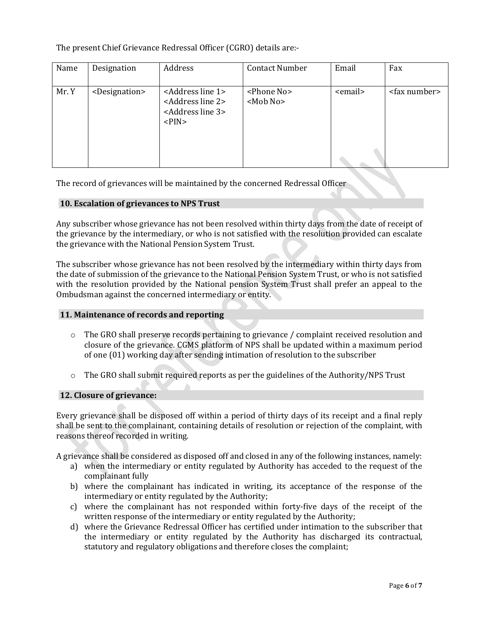The present Chief Grievance Redressal Officer (CGRO) details are:-

| Name  | Designation                 | Address                                                                                                                                                 | <b>Contact Number</b>                                              | Email           | Fax                   |
|-------|-----------------------------|---------------------------------------------------------------------------------------------------------------------------------------------------------|--------------------------------------------------------------------|-----------------|-----------------------|
| Mr. Y | <designation></designation> | <address 1="" line=""><br/><address 2="" line=""><br/><address 3="" line=""><br/><math>\langle</math>PIN<math>&gt;</math></address></address></address> | <phone no=""><br/><math>&lt;</math>Mob No<math>&gt;</math></phone> | <email></email> | <fax number=""></fax> |

The record of grievances will be maintained by the concerned Redressal Officer

#### <span id="page-5-0"></span>**10. Escalation of grievances to NPS Trust**

Any subscriber whose grievance has not been resolved within thirty days from the date of receipt of the grievance by the intermediary, or who is not satisfied with the resolution provided can escalate the grievance with the National Pension System Trust.

The subscriber whose grievance has not been resolved by the intermediary within thirty days from the date of submission of the grievance to the National Pension System Trust, or who is not satisfied with the resolution provided by the National pension System Trust shall prefer an appeal to the Ombudsman against the concerned intermediary or entity.

#### <span id="page-5-1"></span>**11. Maintenance of records and reporting**

- o The GRO shall preserve records pertaining to grievance / complaint received resolution and closure of the grievance. CGMS platform of NPS shall be updated within a maximum period of one (01) working day after sending intimation of resolution to the subscriber
- $\circ$  The GRO shall submit required reports as per the guidelines of the Authority/NPS Trust

#### <span id="page-5-2"></span>**12. Closure of grievance:**

Every grievance shall be disposed off within a period of thirty days of its receipt and a final reply shall be sent to the complainant, containing details of resolution or rejection of the complaint, with reasons thereof recorded in writing.

A grievance shall be considered as disposed off and closed in any of the following instances, namely:

- a) when the intermediary or entity regulated by Authority has acceded to the request of the complainant fully
- b) where the complainant has indicated in writing, its acceptance of the response of the intermediary or entity regulated by the Authority;
- c) where the complainant has not responded within forty-five days of the receipt of the written response of the intermediary or entity regulated by the Authority;
- d) where the Grievance Redressal Officer has certified under intimation to the subscriber that the intermediary or entity regulated by the Authority has discharged its contractual, statutory and regulatory obligations and therefore closes the complaint;